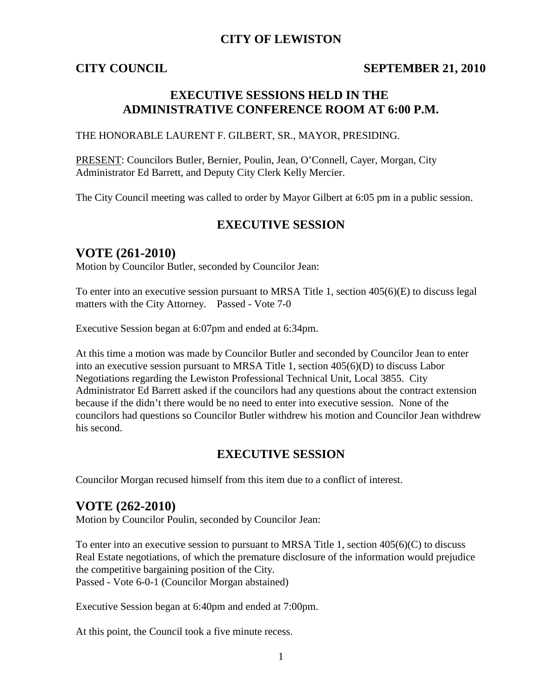## **CITY OF LEWISTON**

### **CITY COUNCIL SEPTEMBER 21, 2010**

## **EXECUTIVE SESSIONS HELD IN THE ADMINISTRATIVE CONFERENCE ROOM AT 6:00 P.M.**

THE HONORABLE LAURENT F. GILBERT, SR., MAYOR, PRESIDING.

PRESENT: Councilors Butler, Bernier, Poulin, Jean, O'Connell, Cayer, Morgan, City Administrator Ed Barrett, and Deputy City Clerk Kelly Mercier.

The City Council meeting was called to order by Mayor Gilbert at 6:05 pm in a public session.

## **EXECUTIVE SESSION**

### **VOTE (261-2010)**

Motion by Councilor Butler, seconded by Councilor Jean:

To enter into an executive session pursuant to MRSA Title 1, section 405(6)(E) to discuss legal matters with the City Attorney. Passed - Vote 7-0

Executive Session began at 6:07pm and ended at 6:34pm.

At this time a motion was made by Councilor Butler and seconded by Councilor Jean to enter into an executive session pursuant to MRSA Title 1, section 405(6)(D) to discuss Labor Negotiations regarding the Lewiston Professional Technical Unit, Local 3855. City Administrator Ed Barrett asked if the councilors had any questions about the contract extension because if the didn't there would be no need to enter into executive session. None of the councilors had questions so Councilor Butler withdrew his motion and Councilor Jean withdrew his second.

### **EXECUTIVE SESSION**

Councilor Morgan recused himself from this item due to a conflict of interest.

## **VOTE (262-2010)**

Motion by Councilor Poulin, seconded by Councilor Jean:

To enter into an executive session to pursuant to MRSA Title 1, section 405(6)(C) to discuss Real Estate negotiations, of which the premature disclosure of the information would prejudice the competitive bargaining position of the City. Passed - Vote 6-0-1 (Councilor Morgan abstained)

Executive Session began at 6:40pm and ended at 7:00pm.

At this point, the Council took a five minute recess.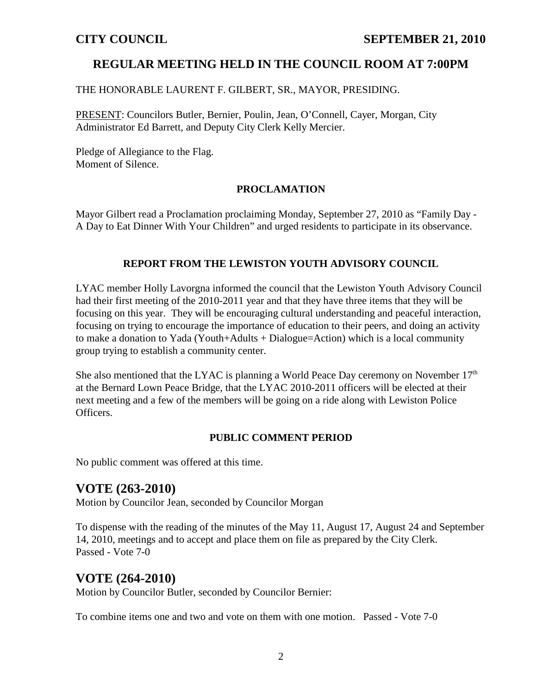## **REGULAR MEETING HELD IN THE COUNCIL ROOM AT 7:00PM**

THE HONORABLE LAURENT F. GILBERT, SR., MAYOR, PRESIDING.

PRESENT: Councilors Butler, Bernier, Poulin, Jean, O'Connell, Cayer, Morgan, City Administrator Ed Barrett, and Deputy City Clerk Kelly Mercier.

Pledge of Allegiance to the Flag. Moment of Silence.

### **PROCLAMATION**

Mayor Gilbert read a Proclamation proclaiming Monday, September 27, 2010 as "Family Day - A Day to Eat Dinner With Your Children" and urged residents to participate in its observance.

### **REPORT FROM THE LEWISTON YOUTH ADVISORY COUNCIL**

LYAC member Holly Lavorgna informed the council that the Lewiston Youth Advisory Council had their first meeting of the 2010-2011 year and that they have three items that they will be focusing on this year. They will be encouraging cultural understanding and peaceful interaction, focusing on trying to encourage the importance of education to their peers, and doing an activity to make a donation to Yada (Youth+Adults + Dialogue=Action) which is a local community group trying to establish a community center.

She also mentioned that the LYAC is planning a World Peace Day ceremony on November  $17<sup>th</sup>$ at the Bernard Lown Peace Bridge, that the LYAC 2010-2011 officers will be elected at their next meeting and a few of the members will be going on a ride along with Lewiston Police Officers.

### **PUBLIC COMMENT PERIOD**

No public comment was offered at this time.

## **VOTE (263-2010)**

Motion by Councilor Jean, seconded by Councilor Morgan

To dispense with the reading of the minutes of the May 11, August 17, August 24 and September 14, 2010, meetings and to accept and place them on file as prepared by the City Clerk. Passed - Vote 7-0

## **VOTE (264-2010)**

Motion by Councilor Butler, seconded by Councilor Bernier:

To combine items one and two and vote on them with one motion. Passed - Vote 7-0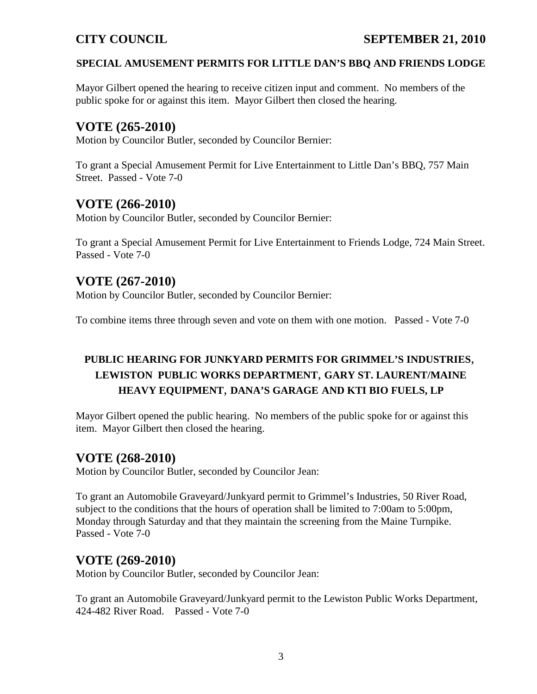## **SPECIAL AMUSEMENT PERMITS FOR LITTLE DAN'S BBQ AND FRIENDS LODGE**

Mayor Gilbert opened the hearing to receive citizen input and comment. No members of the public spoke for or against this item. Mayor Gilbert then closed the hearing.

## **VOTE (265-2010)**

Motion by Councilor Butler, seconded by Councilor Bernier:

To grant a Special Amusement Permit for Live Entertainment to Little Dan's BBQ, 757 Main Street. Passed - Vote 7-0

## **VOTE (266-2010)**

Motion by Councilor Butler, seconded by Councilor Bernier:

To grant a Special Amusement Permit for Live Entertainment to Friends Lodge, 724 Main Street. Passed - Vote 7-0

## **VOTE (267-2010)**

Motion by Councilor Butler, seconded by Councilor Bernier:

To combine items three through seven and vote on them with one motion. Passed - Vote 7-0

# **PUBLIC HEARING FOR JUNKYARD PERMITS FOR GRIMMEL'S INDUSTRIES**, **LEWISTON PUBLIC WORKS DEPARTMENT**, **GARY ST. LAURENT/MAINE HEAVY EQUIPMENT**, **DANA'S GARAGE AND KTI BIO FUELS, LP**

Mayor Gilbert opened the public hearing. No members of the public spoke for or against this item. Mayor Gilbert then closed the hearing.

## **VOTE (268-2010)**

Motion by Councilor Butler, seconded by Councilor Jean:

To grant an Automobile Graveyard/Junkyard permit to Grimmel's Industries, 50 River Road, subject to the conditions that the hours of operation shall be limited to 7:00am to 5:00pm, Monday through Saturday and that they maintain the screening from the Maine Turnpike. Passed - Vote 7-0

# **VOTE (269-2010)**

Motion by Councilor Butler, seconded by Councilor Jean:

To grant an Automobile Graveyard/Junkyard permit to the Lewiston Public Works Department, 424-482 River Road. Passed - Vote 7-0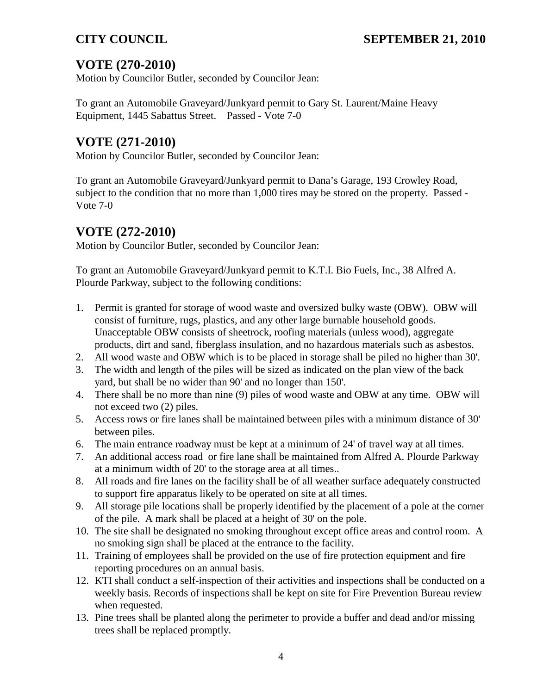# **VOTE (270-2010)**

Motion by Councilor Butler, seconded by Councilor Jean:

To grant an Automobile Graveyard/Junkyard permit to Gary St. Laurent/Maine Heavy Equipment, 1445 Sabattus Street. Passed - Vote 7-0

# **VOTE (271-2010)**

Motion by Councilor Butler, seconded by Councilor Jean:

To grant an Automobile Graveyard/Junkyard permit to Dana's Garage, 193 Crowley Road, subject to the condition that no more than 1,000 tires may be stored on the property. Passed - Vote 7-0

# **VOTE (272-2010)**

Motion by Councilor Butler, seconded by Councilor Jean:

To grant an Automobile Graveyard/Junkyard permit to K.T.I. Bio Fuels, Inc., 38 Alfred A. Plourde Parkway, subject to the following conditions:

- 1. Permit is granted for storage of wood waste and oversized bulky waste (OBW). OBW will consist of furniture, rugs, plastics, and any other large burnable household goods. Unacceptable OBW consists of sheetrock, roofing materials (unless wood), aggregate products, dirt and sand, fiberglass insulation, and no hazardous materials such as asbestos.
- 2. All wood waste and OBW which is to be placed in storage shall be piled no higher than 30'.
- 3. The width and length of the piles will be sized as indicated on the plan view of the back yard, but shall be no wider than 90' and no longer than 150'.
- 4. There shall be no more than nine (9) piles of wood waste and OBW at any time. OBW will not exceed two (2) piles.
- 5. Access rows or fire lanes shall be maintained between piles with a minimum distance of 30' between piles.
- 6. The main entrance roadway must be kept at a minimum of 24' of travel way at all times.
- 7. An additional access road or fire lane shall be maintained from Alfred A. Plourde Parkway at a minimum width of 20' to the storage area at all times..
- 8. All roads and fire lanes on the facility shall be of all weather surface adequately constructed to support fire apparatus likely to be operated on site at all times.
- 9. All storage pile locations shall be properly identified by the placement of a pole at the corner of the pile. A mark shall be placed at a height of 30' on the pole.
- 10. The site shall be designated no smoking throughout except office areas and control room. A no smoking sign shall be placed at the entrance to the facility.
- 11. Training of employees shall be provided on the use of fire protection equipment and fire reporting procedures on an annual basis.
- 12. KTI shall conduct a self-inspection of their activities and inspections shall be conducted on a weekly basis. Records of inspections shall be kept on site for Fire Prevention Bureau review when requested.
- 13. Pine trees shall be planted along the perimeter to provide a buffer and dead and/or missing trees shall be replaced promptly.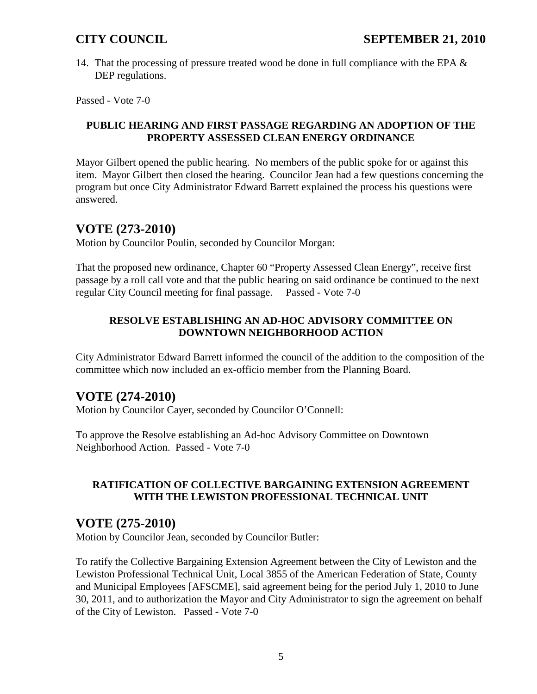14. That the processing of pressure treated wood be done in full compliance with the EPA & DEP regulations.

Passed - Vote 7-0

## **PUBLIC HEARING AND FIRST PASSAGE REGARDING AN ADOPTION OF THE PROPERTY ASSESSED CLEAN ENERGY ORDINANCE**

Mayor Gilbert opened the public hearing. No members of the public spoke for or against this item. Mayor Gilbert then closed the hearing. Councilor Jean had a few questions concerning the program but once City Administrator Edward Barrett explained the process his questions were answered.

## **VOTE (273-2010)**

Motion by Councilor Poulin, seconded by Councilor Morgan:

That the proposed new ordinance, Chapter 60 "Property Assessed Clean Energy", receive first passage by a roll call vote and that the public hearing on said ordinance be continued to the next regular City Council meeting for final passage. Passed - Vote 7-0

## **RESOLVE ESTABLISHING AN AD-HOC ADVISORY COMMITTEE ON DOWNTOWN NEIGHBORHOOD ACTION**

City Administrator Edward Barrett informed the council of the addition to the composition of the committee which now included an ex-officio member from the Planning Board.

# **VOTE (274-2010)**

Motion by Councilor Cayer, seconded by Councilor O'Connell:

To approve the Resolve establishing an Ad-hoc Advisory Committee on Downtown Neighborhood Action. Passed - Vote 7-0

## **RATIFICATION OF COLLECTIVE BARGAINING EXTENSION AGREEMENT WITH THE LEWISTON PROFESSIONAL TECHNICAL UNIT**

## **VOTE (275-2010)**

Motion by Councilor Jean, seconded by Councilor Butler:

To ratify the Collective Bargaining Extension Agreement between the City of Lewiston and the Lewiston Professional Technical Unit, Local 3855 of the American Federation of State, County and Municipal Employees [AFSCME], said agreement being for the period July 1, 2010 to June 30, 2011, and to authorization the Mayor and City Administrator to sign the agreement on behalf of the City of Lewiston. Passed - Vote 7-0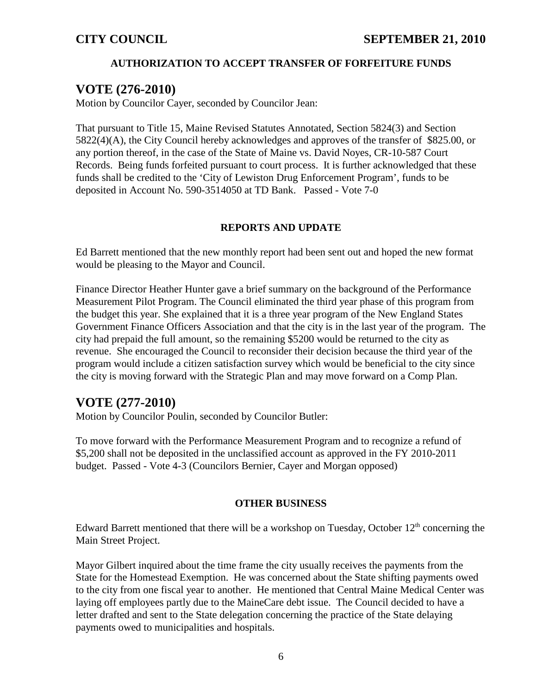## **AUTHORIZATION TO ACCEPT TRANSFER OF FORFEITURE FUNDS**

## **VOTE (276-2010)**

Motion by Councilor Cayer, seconded by Councilor Jean:

That pursuant to Title 15, Maine Revised Statutes Annotated, Section 5824(3) and Section 5822(4)(A), the City Council hereby acknowledges and approves of the transfer of \$825.00, or any portion thereof, in the case of the State of Maine vs. David Noyes, CR-10-587 Court Records. Being funds forfeited pursuant to court process. It is further acknowledged that these funds shall be credited to the 'City of Lewiston Drug Enforcement Program', funds to be deposited in Account No. 590-3514050 at TD Bank. Passed - Vote 7-0

### **REPORTS AND UPDATE**

Ed Barrett mentioned that the new monthly report had been sent out and hoped the new format would be pleasing to the Mayor and Council.

Finance Director Heather Hunter gave a brief summary on the background of the Performance Measurement Pilot Program. The Council eliminated the third year phase of this program from the budget this year. She explained that it is a three year program of the New England States Government Finance Officers Association and that the city is in the last year of the program. The city had prepaid the full amount, so the remaining \$5200 would be returned to the city as revenue. She encouraged the Council to reconsider their decision because the third year of the program would include a citizen satisfaction survey which would be beneficial to the city since the city is moving forward with the Strategic Plan and may move forward on a Comp Plan.

# **VOTE (277-2010)**

Motion by Councilor Poulin, seconded by Councilor Butler:

To move forward with the Performance Measurement Program and to recognize a refund of \$5,200 shall not be deposited in the unclassified account as approved in the FY 2010-2011 budget. Passed - Vote 4-3 (Councilors Bernier, Cayer and Morgan opposed)

### **OTHER BUSINESS**

Edward Barrett mentioned that there will be a workshop on Tuesday, October  $12<sup>th</sup>$  concerning the Main Street Project.

Mayor Gilbert inquired about the time frame the city usually receives the payments from the State for the Homestead Exemption. He was concerned about the State shifting payments owed to the city from one fiscal year to another. He mentioned that Central Maine Medical Center was laying off employees partly due to the MaineCare debt issue. The Council decided to have a letter drafted and sent to the State delegation concerning the practice of the State delaying payments owed to municipalities and hospitals.